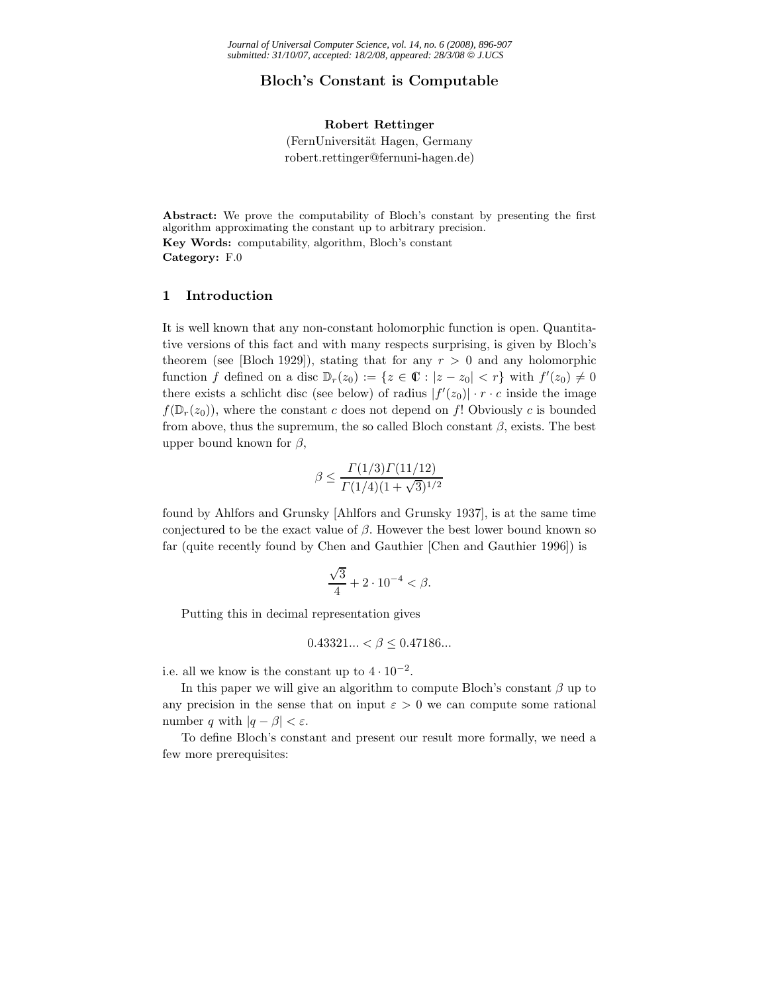# **Bloch's Constant is Computable**

## **Robert Rettinger**

(FernUniversität Hagen, Germany robert.rettinger@fernuni-hagen.de)

**Abstract:** We prove the computability of Bloch's constant by presenting the first algorithm approximating the constant up to arbitrary precision. **Key Words:** computability, algorithm, Bloch's constant **Category:** F.0

## **1 Introduction**

It is well known that any non-constant holomorphic function is open. Quantitative versions of this fact and with many respects surprising, is given by Bloch's theorem (see [Bloch 1929]), stating that for any  $r > 0$  and any holomorphic function f defined on a disc  $\mathbb{D}_r(z_0) := \{z \in \mathbb{C} : |z - z_0| < r\}$  with  $f'(z_0) \neq 0$ there exists a schlicht disc (see below) of radius  $|f'(z_0)| \cdot r \cdot c$  inside the image  $f(\mathbb{D}_r(z_0))$ , where the constant c does not depend on f! Obviously c is bounded from above, thus the supremum, the so called Bloch constant  $\beta$ , exists. The best upper bound known for  $\beta$ ,

$$
\beta \le \frac{\Gamma(1/3)\Gamma(11/12)}{\Gamma(1/4)(1+\sqrt{3})^{1/2}}
$$

found by Ahlfors and Grunsky [Ahlfors and Grunsky 1937], is at the same time conjectured to be the exact value of  $\beta$ . However the best lower bound known so far (quite recently found by Chen and Gauthier [Chen and Gauthier 1996]) is

$$
\frac{\sqrt{3}}{4} + 2 \cdot 10^{-4} < \beta.
$$

Putting this in decimal representation gives

$$
0.43321... < \beta \le 0.47186...
$$

i.e. all we know is the constant up to  $4 \cdot 10^{-2}$ .

In this paper we will give an algorithm to compute Bloch's constant  $\beta$  up to any precision in the sense that on input  $\varepsilon > 0$  we can compute some rational number q with  $|q - \beta| < \varepsilon$ .

To define Bloch's constant and present our result more formally, we need a few more prerequisites: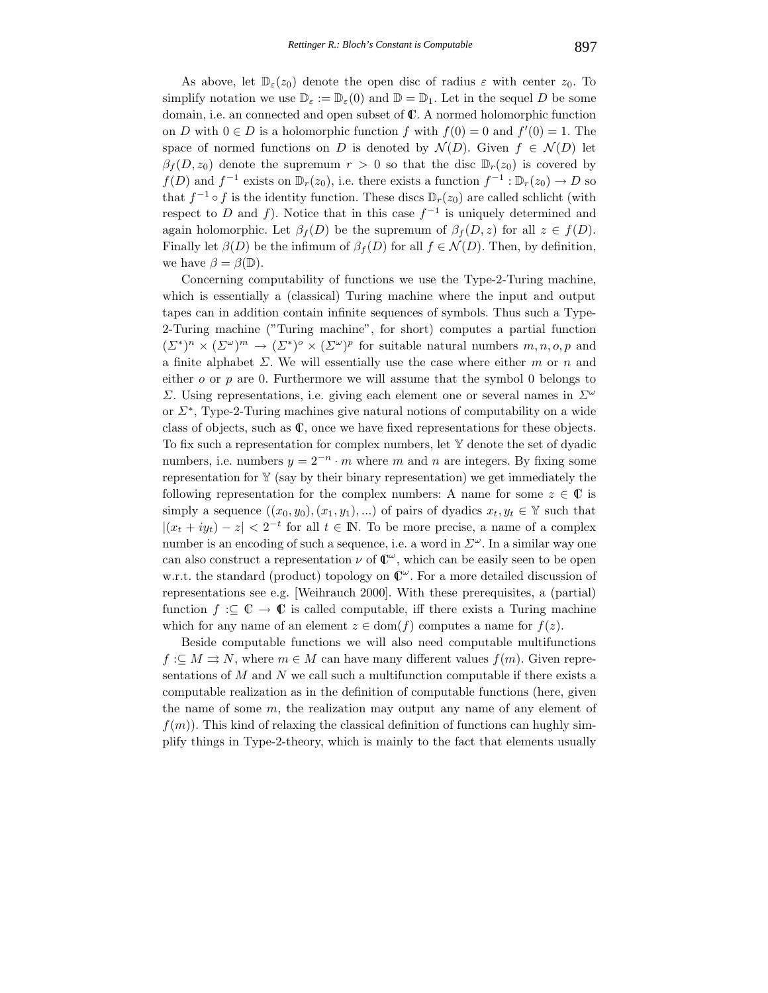As above, let  $\mathbb{D}_{\varepsilon}(z_0)$  denote the open disc of radius  $\varepsilon$  with center  $z_0$ . To simplify notation we use  $\mathbb{D}_{\varepsilon} := \mathbb{D}_{\varepsilon}(0)$  and  $\mathbb{D} = \mathbb{D}_1$ . Let in the sequel D be some domain, i.e. an connected and open subset of C. A normed holomorphic function on D with  $0 \in D$  is a holomorphic function f with  $f(0) = 0$  and  $f'(0) = 1$ . The space of normed functions on D is denoted by  $\mathcal{N}(D)$ . Given  $f \in \mathcal{N}(D)$  let  $\beta_f(D, z_0)$  denote the supremum  $r > 0$  so that the disc  $\mathbb{D}_r(z_0)$  is covered by  $f(D)$  and  $f^{-1}$  exists on  $\mathbb{D}_r(z_0)$ , i.e. there exists a function  $f^{-1} : \mathbb{D}_r(z_0) \to D$  so that  $f^{-1} \circ f$  is the identity function. These discs  $\mathbb{D}_r(z_0)$  are called schlicht (with respect to D and f). Notice that in this case  $f^{-1}$  is uniquely determined and again holomorphic. Let  $\beta_f(D)$  be the supremum of  $\beta_f(D, z)$  for all  $z \in f(D)$ . Finally let  $\beta(D)$  be the infimum of  $\beta_f(D)$  for all  $f \in \mathcal{N}(D)$ . Then, by definition, we have  $\beta = \beta(\mathbb{D})$ .

Concerning computability of functions we use the Type-2-Turing machine, which is essentially a (classical) Turing machine where the input and output tapes can in addition contain infinite sequences of symbols. Thus such a Type-2-Turing machine ("Turing machine", for short) computes a partial function  $(\Sigma^*)^n \times (\Sigma^{\omega})^m \to (\Sigma^*)^o \times (\Sigma^{\omega})^p$  for suitable natural numbers  $m, n, o, p$  and a finite alphabet  $\Sigma$ . We will essentially use the case where either m or n and either  $o$  or  $p$  are 0. Furthermore we will assume that the symbol 0 belongs to Σ. Using representations, i.e. giving each element one or several names in  $\Sigma^{\omega}$ or  $\Sigma^*$ , Type-2-Turing machines give natural notions of computability on a wide class of objects, such as C, once we have fixed representations for these objects. To fix such a representation for complex numbers, let Y denote the set of dyadic numbers, i.e. numbers  $y = 2^{-n} \cdot m$  where m and n are integers. By fixing some representation for  $Y$  (say by their binary representation) we get immediately the following representation for the complex numbers: A name for some  $z \in \mathbb{C}$  is simply a sequence  $((x_0, y_0), (x_1, y_1), ...)$  of pairs of dyadics  $x_t, y_t \in \mathbb{Y}$  such that  $|(x_t + iy_t) - z| < 2^{-t}$  for all  $t \in \mathbb{N}$ . To be more precise, a name of a complex number is an encoding of such a sequence, i.e. a word in  $\Sigma^{\omega}$ . In a similar way one can also construct a representation  $\nu$  of  $\mathbb{C}^{\omega}$ , which can be easily seen to be open w.r.t. the standard (product) topology on  $\mathbb{C}^{\omega}$ . For a more detailed discussion of representations see e.g. [Weihrauch 2000]. With these prerequisites, a (partial) function  $f : \subseteq \mathbb{C} \to \mathbb{C}$  is called computable, iff there exists a Turing machine which for any name of an element  $z \in \text{dom}(f)$  computes a name for  $f(z)$ .

Beside computable functions we will also need computable multifunctions  $f: \subseteq M \rightrightarrows N$ , where  $m \in M$  can have many different values  $f(m)$ . Given representations of  $M$  and  $N$  we call such a multifunction computable if there exists a computable realization as in the definition of computable functions (here, given the name of some m, the realization may output any name of any element of  $f(m)$ . This kind of relaxing the classical definition of functions can hughly simplify things in Type-2-theory, which is mainly to the fact that elements usually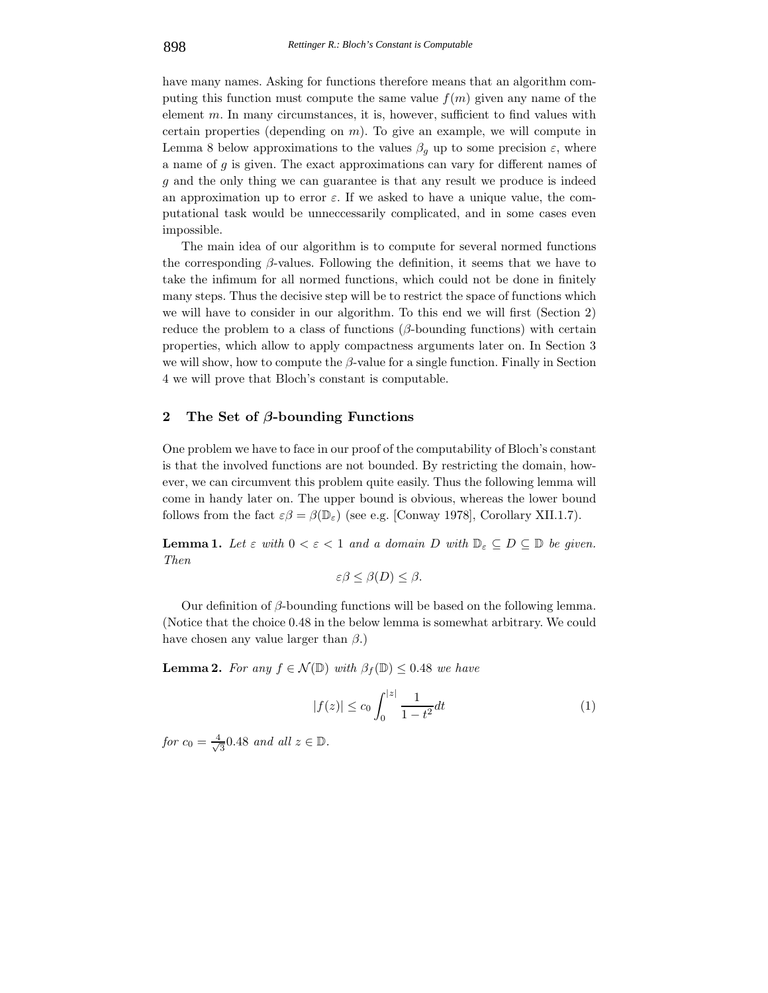have many names. Asking for functions therefore means that an algorithm computing this function must compute the same value  $f(m)$  given any name of the element  $m$ . In many circumstances, it is, however, sufficient to find values with certain properties (depending on  $m$ ). To give an example, we will compute in Lemma 8 below approximations to the values  $\beta_q$  up to some precision  $\varepsilon$ , where a name of g is given. The exact approximations can vary for different names of g and the only thing we can guarantee is that any result we produce is indeed an approximation up to error  $\varepsilon$ . If we asked to have a unique value, the computational task would be unneccessarily complicated, and in some cases even impossible.

The main idea of our algorithm is to compute for several normed functions the corresponding  $\beta$ -values. Following the definition, it seems that we have to take the infimum for all normed functions, which could not be done in finitely many steps. Thus the decisive step will be to restrict the space of functions which we will have to consider in our algorithm. To this end we will first (Section 2) reduce the problem to a class of functions ( $\beta$ -bounding functions) with certain properties, which allow to apply compactness arguments later on. In Section 3 we will show, how to compute the  $\beta$ -value for a single function. Finally in Section 4 we will prove that Bloch's constant is computable.

### **2 The Set of** *β***-bounding Functions**

One problem we have to face in our proof of the computability of Bloch's constant is that the involved functions are not bounded. By restricting the domain, however, we can circumvent this problem quite easily. Thus the following lemma will come in handy later on. The upper bound is obvious, whereas the lower bound follows from the fact  $\varepsilon\beta = \beta(\mathbb{D}_{\varepsilon})$  (see e.g. [Conway 1978], Corollary XII.1.7).

**Lemma 1.** Let  $\varepsilon$  with  $0 < \varepsilon < 1$  and a domain D with  $\mathbb{D}_{\varepsilon} \subseteq D \subseteq \mathbb{D}$  be given. *Then*

$$
\varepsilon \beta \leq \beta(D) \leq \beta.
$$

Our definition of  $β$ -bounding functions will be based on the following lemma. (Notice that the choice 0.48 in the below lemma is somewhat arbitrary. We could have chosen any value larger than  $\beta$ .)

**Lemma 2.** *For any*  $f \in \mathcal{N}(\mathbb{D})$  *with*  $\beta_f(\mathbb{D}) \leq 0.48$  *we have* 

$$
|f(z)| \le c_0 \int_0^{|z|} \frac{1}{1 - t^2} dt \tag{1}
$$

*for*  $c_0 = \frac{4}{\sqrt{3}} 0.48$  *and all*  $z \in \mathbb{D}$ *.*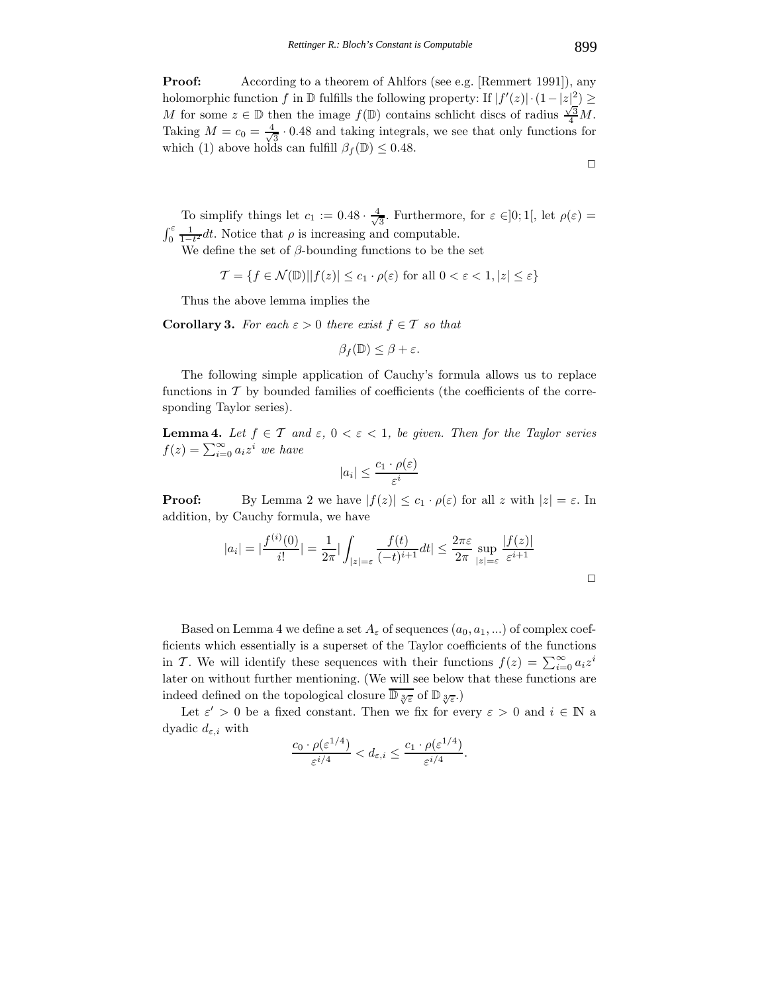**Proof:** According to a theorem of Ahlfors (see e.g. [Remmert 1991]), any holomorphic function f in  $\mathbb D$  fulfills the following property: If  $|f'(z)| \cdot (1-|z|^2) \ge$ M for some  $z \in \mathbb{D}$  then the image  $f(\mathbb{D})$  contains schlicht discs of radius  $\frac{\sqrt{3}}{4}M$ . Taking  $M = c_0 = \frac{4}{\sqrt{3}} \cdot 0.48$  and taking integrals, we see that only functions for which (1) above holds can fulfill  $\beta_f(\mathbb{D}) \leq 0.48$ .

To simplify things let  $c_1 := 0.48 \cdot \frac{4}{\sqrt{3}}$ . Furthermore, for  $\varepsilon \in ]0;1[$ , let  $\rho(\varepsilon) =$  $\int_0^{\varepsilon} \frac{1}{1-t^2} dt$ . Notice that  $\rho$  is increasing and computable.

We define the set of  $\beta$ -bounding functions to be the set

$$
\mathcal{T} = \{ f \in \mathcal{N}(\mathbb{D}) | |f(z)| \le c_1 \cdot \rho(\varepsilon) \text{ for all } 0 < \varepsilon < 1, |z| \le \varepsilon \}
$$

Thus the above lemma implies the

**Corollary 3.** *For each*  $\varepsilon > 0$  *there exist*  $f \in \mathcal{T}$  *so that* 

$$
\beta_f(\mathbb{D}) \le \beta + \varepsilon.
$$

The following simple application of Cauchy's formula allows us to replace functions in  $\mathcal T$  by bounded families of coefficients (the coefficients of the corresponding Taylor series).

**Lemma 4.** Let  $f \in \mathcal{T}$  and  $\varepsilon$ ,  $0 < \varepsilon < 1$ , be given. Then for the Taylor series  $f(z) = \sum_{i=0}^{\infty} a_i z^i$  we have

$$
|a_i| \le \frac{c_1 \cdot \rho(\varepsilon)}{\varepsilon^i}
$$

**Proof:** By Lemma 2 we have  $|f(z)| \leq c_1 \cdot \rho(\varepsilon)$  for all z with  $|z| = \varepsilon$ . In addition, by Cauchy formula, we have

$$
|a_i| = |\frac{f^{(i)}(0)}{i!}| = \frac{1}{2\pi} |\int_{|z|=\varepsilon} \frac{f(t)}{(-t)^{i+1}} dt| \le \frac{2\pi\varepsilon}{2\pi} \sup_{|z|=\varepsilon} \frac{|f(z)|}{\varepsilon^{i+1}}
$$

Based on Lemma 4 we define a set  $A_\varepsilon$  of sequences  $(a_0, a_1, \ldots)$  of complex coefficients which essentially is a superset of the Taylor coefficients of the functions in T. We will identify these sequences with their functions  $f(z) = \sum_{i=0}^{\infty} a_i z^i$ later on without further mentioning. (We will see below that these functions are indeed defined on the topological closure  $\overline{\mathbb{D}_{\sqrt[3]{\varepsilon}}}$  of  $\mathbb{D}_{\sqrt[3]{\varepsilon}}$ .)

Let  $\varepsilon' > 0$  be a fixed constant. Then we fix for every  $\varepsilon > 0$  and  $i \in \mathbb{N}$  a dyadic  $d_{\varepsilon,i}$  with

$$
\frac{c_0 \cdot \rho(\varepsilon^{1/4})}{\varepsilon^{i/4}} < d_{\varepsilon,i} \le \frac{c_1 \cdot \rho(\varepsilon^{1/4})}{\varepsilon^{i/4}}.
$$

 $\Box$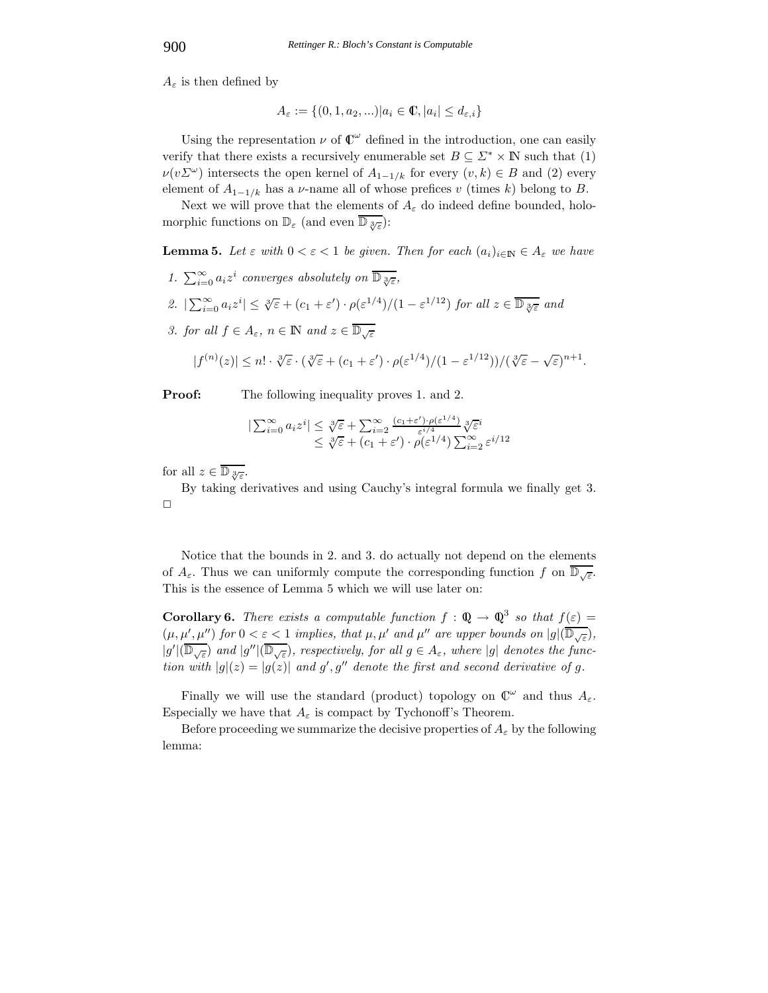$A_{\varepsilon}$  is then defined by

$$
A_{\varepsilon} := \{(0, 1, a_2, \ldots) | a_i \in \mathbb{C}, |a_i| \le d_{\varepsilon, i}\}
$$

Using the representation  $\nu$  of  $\mathbb{C}^{\omega}$  defined in the introduction, one can easily verify that there exists a recursively enumerable set  $B \subseteq \Sigma^* \times \mathbb{N}$  such that (1)  $\nu(v\Sigma^{\omega})$  intersects the open kernel of  $A_{1-1/k}$  for every  $(v, k) \in B$  and (2) every element of  $A_{1-1/k}$  has a *v*-name all of whose prefices v (times k) belong to B.

Next we will prove that the elements of  $A_{\varepsilon}$  do indeed define bounded, holomorphic functions on  $\mathbb{D}_{\varepsilon}$  (and even  $\mathbb{D}_{\sqrt[3]{\varepsilon}}$ ):

**Lemma 5.** Let  $\varepsilon$  with  $0 < \varepsilon < 1$  be given. Then for each  $(a_i)_{i \in \mathbb{N}} \in A_{\varepsilon}$  we have

*1.*  $\sum_{i=0}^{\infty} a_i z^i$  *converges absolutely on*  $\overline{\mathbb{D}_{\sqrt[3]{\epsilon}}},$ 2.  $|\sum_{i=0}^{\infty} a_i z^i| \leq \sqrt[3]{\varepsilon} + (c_1 + \varepsilon') \cdot \rho(\varepsilon^{1/4})/(1 - \varepsilon^{1/12})$  *for all*  $z \in \overline{\mathbb{D}_{\sqrt[3]{\varepsilon}}}$  *and 3. for all*  $f \in A_{\varepsilon}$ ,  $n \in \mathbb{N}$  and  $z \in \overline{\mathbb{D}_{\sqrt{\varepsilon}}}$ 

$$
|f^{(n)}(z)| \leq n! \cdot \sqrt[3]{\varepsilon} \cdot (\sqrt[3]{\varepsilon} + (c_1 + \varepsilon') \cdot \rho(\varepsilon^{1/4})/(1 - \varepsilon^{1/12})) / (\sqrt[3]{\varepsilon} - \sqrt{\varepsilon})^{n+1}.
$$

**Proof:** The following inequality proves 1. and 2.

$$
|\sum_{i=0}^{\infty} a_i z^i| \leq \sqrt[3]{\varepsilon} + \sum_{i=2}^{\infty} \frac{(c_1 + \varepsilon') \cdot \rho(\varepsilon^{1/4})}{\varepsilon^{i/4}} \sqrt[3]{\varepsilon}^i
$$
  

$$
\leq \sqrt[3]{\varepsilon} + (c_1 + \varepsilon') \cdot \rho(\varepsilon^{1/4}) \sum_{i=2}^{\infty} \varepsilon^{i/12}
$$

for all  $z \in \overline{\mathbb{D}_{\sqrt[3]{\varepsilon}}}.$ 

By taking derivatives and using Cauchy's integral formula we finally get 3.  $\Box$ 

Notice that the bounds in 2. and 3. do actually not depend on the elements of  $A_{\varepsilon}$ . Thus we can uniformly compute the corresponding function f on  $\mathbb{D}_{\sqrt{\varepsilon}}$ . This is the essence of Lemma 5 which we will use later on:

**Corollary 6.** *There exists a computable function*  $f : \mathbb{Q} \to \mathbb{Q}^3$  *so that*  $f(\varepsilon) =$  $(\mu, \mu', \mu'')$  for  $0 < \varepsilon < 1$  implies, that  $\mu, \mu'$  and  $\mu''$  are upper bounds on  $|g|(\mathbb{D}_{\sqrt{\varepsilon}})$ ,  $|g'|(\mathbb{D}_{\sqrt{\varepsilon}})$  and  $|g''|(\mathbb{D}_{\sqrt{\varepsilon}})$ , respectively, for all  $g \in A_{\varepsilon}$ , where  $|g|$  denotes the func*tion with*  $|g|(z) = |g(z)|$  and g', g'' denote the first and second derivative of g.

Finally we will use the standard (product) topology on  $\mathbb{C}^{\omega}$  and thus  $A_{\varepsilon}$ . Especially we have that  $A_{\varepsilon}$  is compact by Tychonoff's Theorem.

Before proceeding we summarize the decisive properties of  $A_{\varepsilon}$  by the following lemma: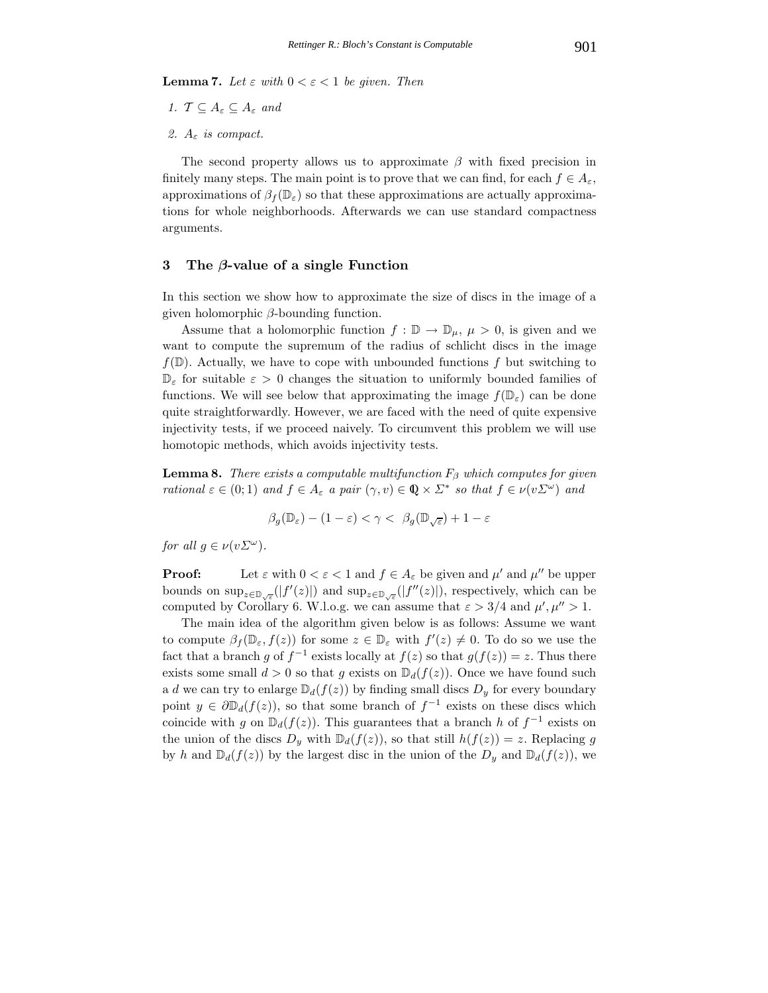**Lemma 7.** *Let*  $\varepsilon$  *with*  $0 < \varepsilon < 1$  *be given. Then* 

- *1.*  $\mathcal{T} \subseteq A_{\varepsilon} \subseteq A_{\varepsilon}$  and
- *2.* A<sup>ε</sup> *is compact.*

The second property allows us to approximate  $\beta$  with fixed precision in finitely many steps. The main point is to prove that we can find, for each  $f \in A_{\epsilon}$ , approximations of  $\beta_f(\mathbb{D}_{\epsilon})$  so that these approximations are actually approximations for whole neighborhoods. Afterwards we can use standard compactness arguments.

#### **3 The** *β***-value of a single Function**

In this section we show how to approximate the size of discs in the image of a given holomorphic  $\beta$ -bounding function.

Assume that a holomorphic function  $f : \mathbb{D} \to \mathbb{D}_{\mu}, \mu > 0$ , is given and we want to compute the supremum of the radius of schlicht discs in the image  $f(\mathbb{D})$ . Actually, we have to cope with unbounded functions f but switching to  $\mathbb{D}_{\varepsilon}$  for suitable  $\varepsilon > 0$  changes the situation to uniformly bounded families of functions. We will see below that approximating the image  $f(\mathbb{D}_{\varepsilon})$  can be done quite straightforwardly. However, we are faced with the need of quite expensive injectivity tests, if we proceed naively. To circumvent this problem we will use homotopic methods, which avoids injectivity tests.

**Lemma 8.** *There exists a computable multifunction*  $F_\beta$  *which computes for given rational*  $\varepsilon \in (0,1)$  *and*  $f \in A_{\varepsilon}$  *a pair*  $(\gamma, v) \in \mathbb{Q} \times \Sigma^*$  *so that*  $f \in \nu(v \Sigma^{\omega})$  *and* 

$$
\beta_g(\mathbb{D}_{\varepsilon}) - (1 - \varepsilon) < \gamma < \beta_g(\mathbb{D}_{\sqrt{\varepsilon}}) + 1 - \varepsilon
$$

*for all*  $g \in \nu(v \Sigma^{\omega})$ *.* 

**Proof:** Let  $\varepsilon$  with  $0 < \varepsilon < 1$  and  $f \in A_{\varepsilon}$  be given and  $\mu'$  and  $\mu''$  be upper bounds on  $\sup_{z\in\mathbb{D}_{\sqrt{\varepsilon}}}(|f'(z)|)$  and  $\sup_{z\in\mathbb{D}_{\sqrt{\varepsilon}}}(|f''(z)|)$ , respectively, which can be computed by Corollary 6. W.l.o.g. we can assume that  $\varepsilon > 3/4$  and  $\mu', \mu'' > 1$ .

The main idea of the algorithm given below is as follows: Assume we want to compute  $\beta_f(\mathbb{D}_{\varepsilon}, f(z))$  for some  $z \in \mathbb{D}_{\varepsilon}$  with  $f'(z) \neq 0$ . To do so we use the fact that a branch g of  $f^{-1}$  exists locally at  $f(z)$  so that  $g(f(z)) = z$ . Thus there exists some small  $d > 0$  so that g exists on  $\mathbb{D}_d(f(z))$ . Once we have found such a d we can try to enlarge  $\mathbb{D}_d(f(z))$  by finding small discs  $D_y$  for every boundary point  $y \in \partial \mathbb{D}_d(f(z))$ , so that some branch of  $f^{-1}$  exists on these discs which coincide with g on  $\mathbb{D}_d(f(z))$ . This guarantees that a branch h of  $f^{-1}$  exists on the union of the discs  $D_y$  with  $\mathbb{D}_d(f(z))$ , so that still  $h(f(z)) = z$ . Replacing g by h and  $\mathbb{D}_d(f(z))$  by the largest disc in the union of the  $D_y$  and  $\mathbb{D}_d(f(z))$ , we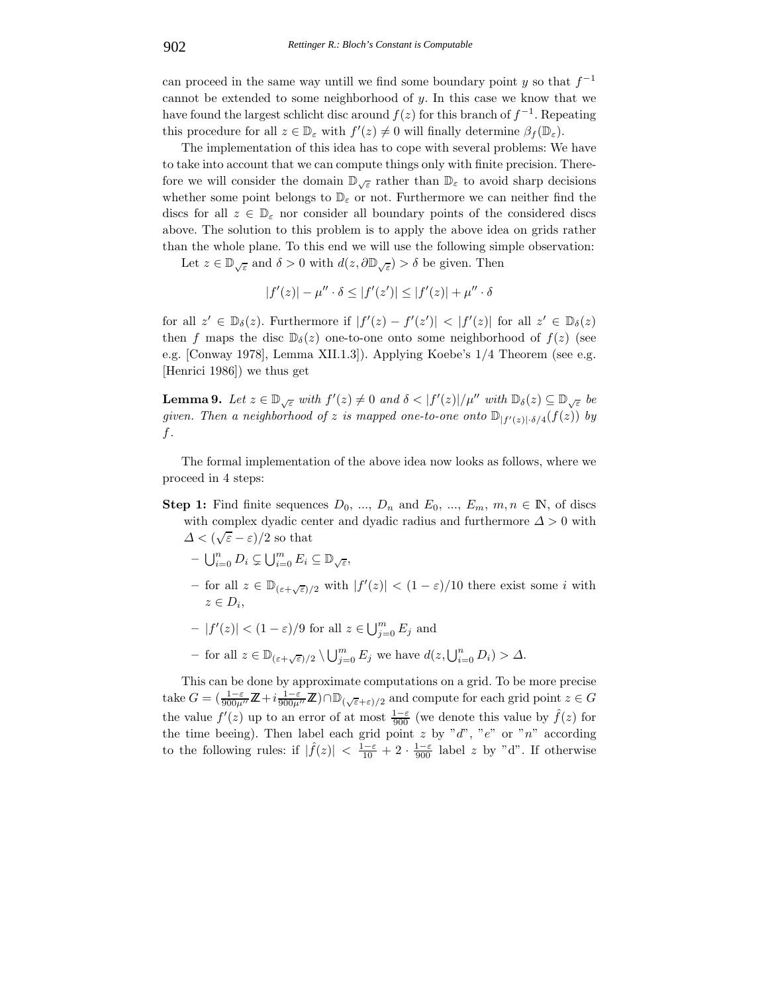can proceed in the same way untill we find some boundary point y so that  $f^{-1}$ cannot be extended to some neighborhood of  $y$ . In this case we know that we have found the largest schlicht disc around  $f(z)$  for this branch of  $f^{-1}$ . Repeating this procedure for all  $z \in \mathbb{D}_{\varepsilon}$  with  $f'(z) \neq 0$  will finally determine  $\beta_f(\mathbb{D}_{\varepsilon})$ .

The implementation of this idea has to cope with several problems: We have to take into account that we can compute things only with finite precision. Therefore we will consider the domain  $\mathbb{D}_{\sqrt{\epsilon}}$  rather than  $\mathbb{D}_{\epsilon}$  to avoid sharp decisions whether some point belongs to  $\mathbb{D}_{\varepsilon}$  or not. Furthermore we can neither find the discs for all  $z \in \mathbb{D}_{\varepsilon}$  nor consider all boundary points of the considered discs above. The solution to this problem is to apply the above idea on grids rather than the whole plane. To this end we will use the following simple observation:

Let  $z \in \mathbb{D}_{\sqrt{\varepsilon}}$  and  $\delta > 0$  with  $d(z, \partial \mathbb{D}_{\sqrt{\varepsilon}}) > \delta$  be given. Then

$$
|f'(z)| - \mu'' \cdot \delta \le |f'(z')| \le |f'(z)| + \mu'' \cdot \delta
$$

for all  $z' \in D_{\delta}(z)$ . Furthermore if  $|f'(z) - f'(z')| < |f'(z)|$  for all  $z' \in D_{\delta}(z)$ then f maps the disc  $\mathbb{D}_{\delta}(z)$  one-to-one onto some neighborhood of  $f(z)$  (see e.g. [Conway 1978], Lemma XII.1.3]). Applying Koebe's 1/4 Theorem (see e.g. [Henrici 1986]) we thus get

**Lemma 9.** Let  $z \in \mathbb{D}_{\sqrt{\varepsilon}}$  with  $f'(z) \neq 0$  and  $\delta < |f'(z)|/\mu''$  with  $\mathbb{D}_{\delta}(z) \subseteq \mathbb{D}_{\sqrt{\varepsilon}}$  be  $given.$  Then a neighborhood of  $z$  is mapped one-to-one onto  $\mathbb{D}_{|f'(z)| \cdot \delta/4}(f(z))$  by f*.*

The formal implementation of the above idea now looks as follows, where we proceed in 4 steps:

**Step 1:** Find finite sequences  $D_0$ , ...,  $D_n$  and  $E_0$ , ...,  $E_m$ ,  $m, n \in \mathbb{N}$ , of discs with complex dyadic center and dyadic radius and furthermore  $\Delta > 0$  with when complex dyadic control of  $\Delta < (\sqrt{\varepsilon} - \varepsilon)/2$  so that

- 
- $\bigcup_{i=0}^{n} D_i \subsetneq \bigcup_{i=0}^{m} E_i \subseteq \mathbb{D}_{\sqrt{\varepsilon}},$
- $-$  for all  $z \in \mathbb{D}_{(\varepsilon+\sqrt{\varepsilon})/2}$  with  $|f'(z)| < (1-\varepsilon)/10$  there exist some *i* with  $z \in D_i$
- $-|f'(z)| < (1-\varepsilon)/9$  for all  $z \in \bigcup_{j=0}^m E_j$  and
- $-$  for all  $z \in \mathbb{D}_{(\varepsilon+\sqrt{\varepsilon})/2} \setminus \bigcup_{j=0}^m E_j$  we have  $d(z, \bigcup_{i=0}^n D_i) > \Delta$ .

This can be done by approximate computations on a grid. To be more precise take  $G = (\frac{1-\varepsilon}{900\mu''}\mathbb{Z} + i\frac{1-\varepsilon}{900\mu''}\mathbb{Z}) \cap \mathbb{D}_{(\sqrt{\varepsilon}+\varepsilon)/2}$  and compute for each grid point  $z \in G$ the value  $f'(z)$  up to an error of at most  $\frac{1-\varepsilon}{900}$  (we denote this value by  $\hat{f}(z)$  for the time beeing). Then label each grid point  $z$  by " $d$ ", " $e$ " or " $n$ " according to the following rules: if  $|\hat{f}(z)| < \frac{1-\varepsilon}{10} + 2 \cdot \frac{1-\varepsilon}{900}$  label z by "d". If otherwise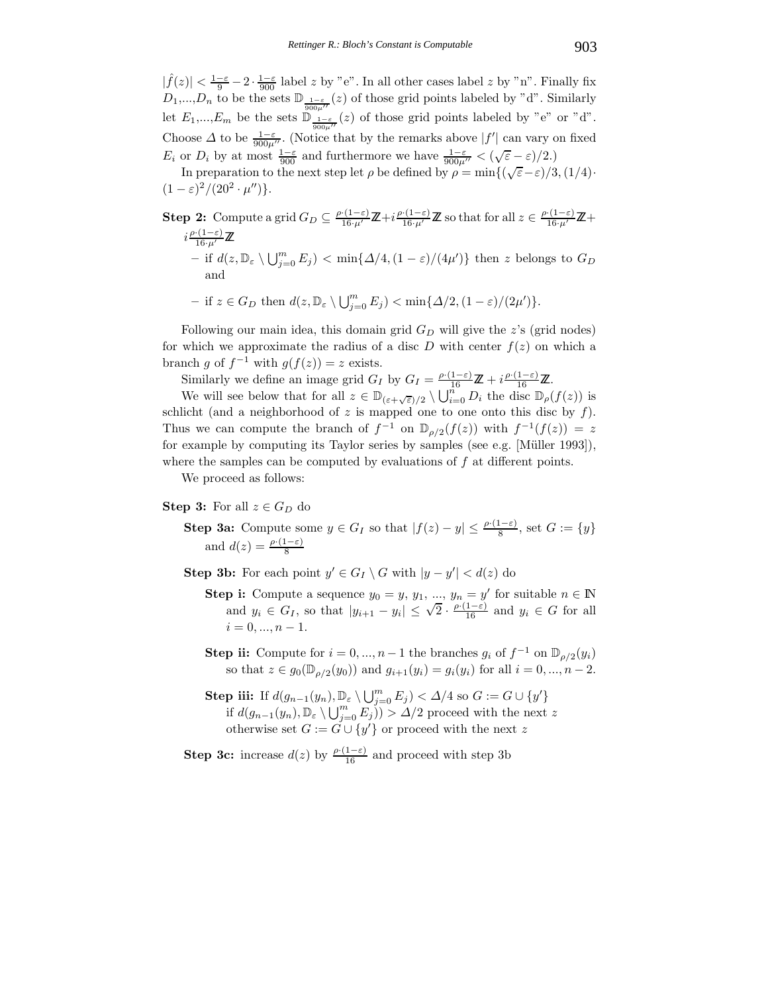$|\hat{f}(z)| < \frac{1-\varepsilon}{9} - 2 \cdot \frac{1-\varepsilon}{900}$  label z by "e". In all other cases label z by "n". Finally fix  $D_1,...,D_n$  to be the sets  $\mathbb{D}_{\frac{1-\varepsilon}{900\mu''}}(z)$  of those grid points labeled by "d". Similarly let  $E_1,...,E_m$  be the sets  $\mathbb{D}_{\frac{1-\varepsilon}{900\mu''}}(z)$  of those grid points labeled by "e" or "d". Choose  $\Delta$  to be  $\frac{1-\varepsilon}{900\mu}$ . (Notice that by the remarks above  $|f'|$  can vary on fixed  $E_i$  or  $D_i$  by at most  $\frac{1-\varepsilon}{900}$  and furthermore we have  $\frac{1-\varepsilon}{900\mu''} < (\sqrt{\varepsilon} - \varepsilon)/2$ .)

In preparation to the next step let  $\rho$  be defined by  $\rho = \min\{(\sqrt{\varepsilon} - \varepsilon)/3, (1/4) \}$  $(1 - \varepsilon)^2 / (20^2 \cdot \mu'')$ .

**Step 2:** Compute a grid  $G_D \subseteq \frac{\rho \cdot (1-\varepsilon)}{16 \cdot \mu'} \mathbb{Z} + i \frac{\rho \cdot (1-\varepsilon)}{16 \cdot \mu'}$  $\frac{(1-\varepsilon)}{16 \cdot \mu'} \mathbb{Z}$  so that for all  $z \in \frac{\rho \cdot (1-\varepsilon)}{16 \cdot \mu'} \mathbb{Z} +$  $i\frac{\rho(1-\varepsilon)}{16\cdots}$  $\frac{(1-\epsilon)}{16\cdot\mu'}\mathbb{Z}$  $-$  if  $d(z, \mathbb{D}_{\varepsilon} \setminus \bigcup_{j=0}^{m} E_j) < \min\{\Delta/4, (1-\varepsilon)/(4\mu')\}$  then z belongs to  $G_D$ and

 $-$  if  $z \in G_D$  then  $d(z, \mathbb{D}_{\varepsilon} \setminus \bigcup_{j=0}^m E_j) < \min\{\Delta/2, (1-\varepsilon)/(2\mu')\}.$ 

Following our main idea, this domain grid  $G_D$  will give the z's (grid nodes) for which we approximate the radius of a disc D with center  $f(z)$  on which a branch g of  $f^{-1}$  with  $g(f(z)) = z$  exists.

Similarly we define an image grid  $G_I$  by  $G_I = \frac{\rho \cdot (1-\varepsilon)}{16} \mathbb{Z} + i \frac{\rho \cdot (1-\varepsilon)}{16} \mathbb{Z}$ .

We will see below that for all  $z \in \mathbb{D}_{(\varepsilon+\sqrt{\varepsilon})/2} \setminus \bigcup_{i=0}^{n} D_i$  the disc  $\mathbb{D}_{\rho}(f(z))$  is schlicht (and a neighborhood of  $z$  is mapped one to one onto this disc by  $f$ ). Thus we can compute the branch of  $f^{-1}$  on  $\mathbb{D}_{\rho/2}(f(z))$  with  $f^{-1}(f(z)) = z$ for example by computing its Taylor series by samples (see e.g. [Müller 1993]), where the samples can be computed by evaluations of  $f$  at different points.

We proceed as follows:

### **Step 3:** For all  $z \in G_D$  do

**Step 3a:** Compute some  $y \in G_I$  so that  $|f(z) - y| \leq \frac{\rho \cdot (1 - \varepsilon)}{8}$ , set  $G := \{y\}$ and  $d(z) = \frac{\rho \cdot (1 - \varepsilon)}{8}$ 

**Step 3b:** For each point  $y' \in G_I \setminus G$  with  $|y - y'| < d(z)$  do

- **Step i:** Compute a sequence  $y_0 = y$ ,  $y_1, ..., y_n = y'$  for suitable  $n \in \mathbb{N}$  and  $y_i \in G_I$ , so that  $|y_{i+1} y_i| \leq \sqrt{2} \cdot \frac{\rho \cdot (1-\varepsilon)}{16}$  and  $y_i \in G$  for all  $i = 0, ..., n - 1.$
- **Step ii:** Compute for  $i = 0, ..., n-1$  the branches  $g_i$  of  $f^{-1}$  on  $\mathbb{D}_{\rho/2}(y_i)$ so that  $z \in g_0(\mathbb{D}_{\rho/2}(y_0))$  and  $g_{i+1}(y_i) = g_i(y_i)$  for all  $i = 0, ..., n-2$ .
- **Step iii:** If  $d(g_{n-1}(y_n), \mathbb{D}_{\varepsilon} \setminus \bigcup_{j=0}^m E_j) < \Delta/4$  so  $G := G \cup \{y'\}$ if  $d(g_{n-1}(y_n), \mathbb{D}_{\varepsilon} \setminus \bigcup_{j=0}^m E_j) > \Delta/2$  proceed with the next z otherwise set  $G := G \cup \{y'\}$  or proceed with the next z

**Step 3c:** increase  $d(z)$  by  $\frac{\rho \cdot (1-\varepsilon)}{16}$  and proceed with step 3b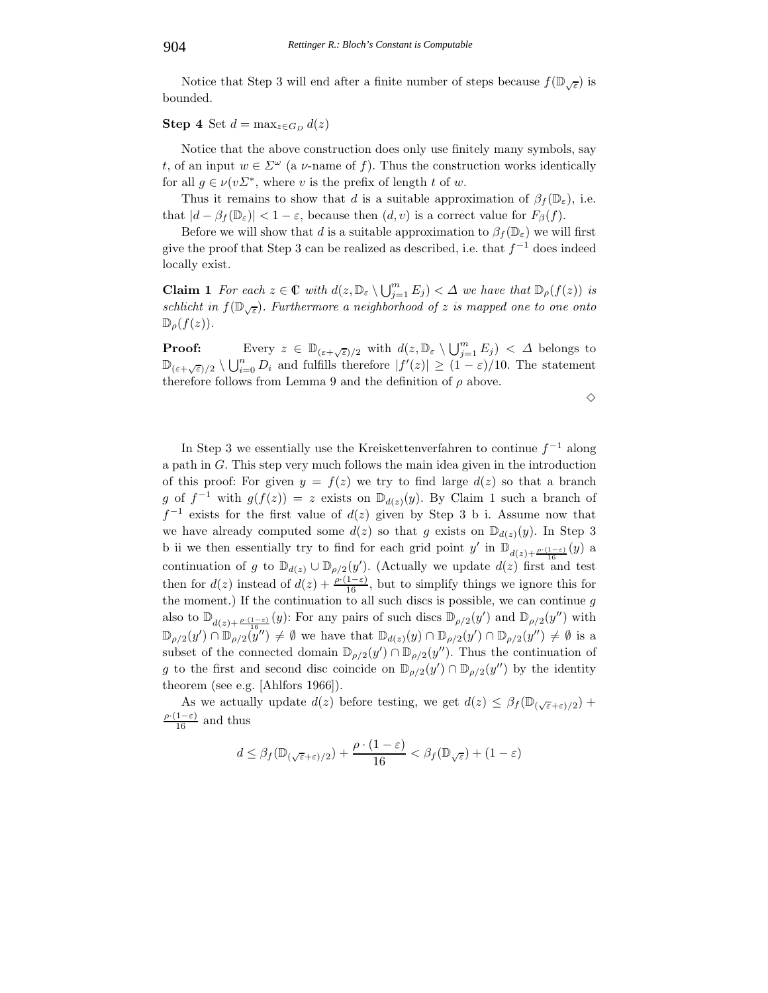Notice that Step 3 will end after a finite number of steps because  $f(\mathbb{D}_{\sqrt{\epsilon}})$  is bounded.

**Step 4** Set  $d = \max_{z \in G_D} d(z)$ 

Notice that the above construction does only use finitely many symbols, say t, of an input  $w \in \Sigma^{\omega}$  (a v-name of f). Thus the construction works identically for all  $g \in \nu(v\Sigma^*)$ , where v is the prefix of length t of w.

Thus it remains to show that d is a suitable approximation of  $\beta_f(\mathbb{D}_{\varepsilon})$ , i.e. that  $|d - \beta_f(\mathbb{D}_{\varepsilon})| < 1 - \varepsilon$ , because then  $(d, v)$  is a correct value for  $F_{\beta}(f)$ .

Before we will show that d is a suitable approximation to  $\beta_f(\mathbb{D}_{\varepsilon})$  we will first give the proof that Step 3 can be realized as described, i.e. that  $f^{-1}$  does indeed locally exist.

**Claim 1** *For each*  $z \in \mathbb{C}$  *with*  $d(z, \mathbb{D}_{\varepsilon} \setminus \bigcup_{j=1}^{m} E_j) < \Delta$  *we have that*  $\mathbb{D}_{\rho}(f(z))$  *is schlicht in*  $f(\mathbb{D}_{\sqrt{\varepsilon}})$ *. Furthermore a neighborhood of* z *is mapped one to one onto*  $\mathbb{D}_{\rho}(f(z)).$ 

**Proof:** Every  $z \in \mathbb{D}_{(\varepsilon+\sqrt{\varepsilon})/2}$  with  $d(z, \mathbb{D}_{\varepsilon} \setminus \bigcup_{j=1}^{m} E_j) < \Delta$  belongs to  $\mathbb{D}_{(\varepsilon+\sqrt{\varepsilon})/2} \setminus \bigcup_{i=0}^n D_i$  and fulfills therefore  $|f'(z)| \geq (1-\varepsilon)/10$ . The statement therefore follows from Lemma 9 and the definition of  $\rho$  above.

 $\diamond$ 

In Step 3 we essentially use the Kreiskettenverfahren to continue  $f^{-1}$  along a path in G. This step very much follows the main idea given in the introduction of this proof: For given  $y = f(z)$  we try to find large  $d(z)$  so that a branch g of  $f^{-1}$  with  $g(f(z)) = z$  exists on  $\mathbb{D}_{d(z)}(y)$ . By Claim 1 such a branch of  $f^{-1}$  exists for the first value of  $d(z)$  given by Step 3 b i. Assume now that we have already computed some  $d(z)$  so that g exists on  $\mathbb{D}_{d(z)}(y)$ . In Step 3 b ii we then essentially try to find for each grid point  $y'$  in  $\mathbb{D}_{d(z)+\frac{\rho\cdot(1-\varepsilon)}{16}}(y)$  a continuation of g to  $\mathbb{D}_{d(z)} \cup \mathbb{D}_{\rho/2}(y')$ . (Actually we update  $d(z)$  first and test then for  $d(z)$  instead of  $d(z) + \frac{\rho(1-\epsilon)}{16}$ , but to simplify things we ignore this for the moment.) If the continuation to all such discs is possible, we can continue  $q$ also to  $\mathbb{D}_{d(z)+\frac{\rho\cdot(1-\varepsilon)}{16}}(y)$ : For any pairs of such discs  $\mathbb{D}_{\rho/2}(y')$  and  $\mathbb{D}_{\rho/2}(y'')$  with  $\mathbb{D}_{\rho/2}(y') \cap \mathbb{D}_{\rho/2}(y'') \neq \emptyset$  we have that  $\mathbb{D}_{d(z)}(y) \cap \mathbb{D}_{\rho/2}(y') \cap \mathbb{D}_{\rho/2}(y'') \neq \emptyset$  is a subset of the connected domain  $\mathbb{D}_{\rho/2}(y') \cap \mathbb{D}_{\rho/2}(y'')$ . Thus the continuation of g to the first and second disc coincide on  $\mathbb{D}_{\rho/2}(y') \cap \mathbb{D}_{\rho/2}(y'')$  by the identity theorem (see e.g. [Ahlfors 1966]).

As we actually update  $d(z)$  before testing, we get  $d(z) \leq \beta_f(\mathbb{D}_{(\sqrt{\varepsilon}+\varepsilon)/2})$  +  $\frac{\rho(1-\varepsilon)}{16}$  and thus

$$
d \leq \beta_f(\mathbb{D}_{(\sqrt{\varepsilon}+\varepsilon)/2}) + \frac{\rho \cdot (1-\varepsilon)}{16} < \beta_f(\mathbb{D}_{\sqrt{\varepsilon}}) + (1-\varepsilon)
$$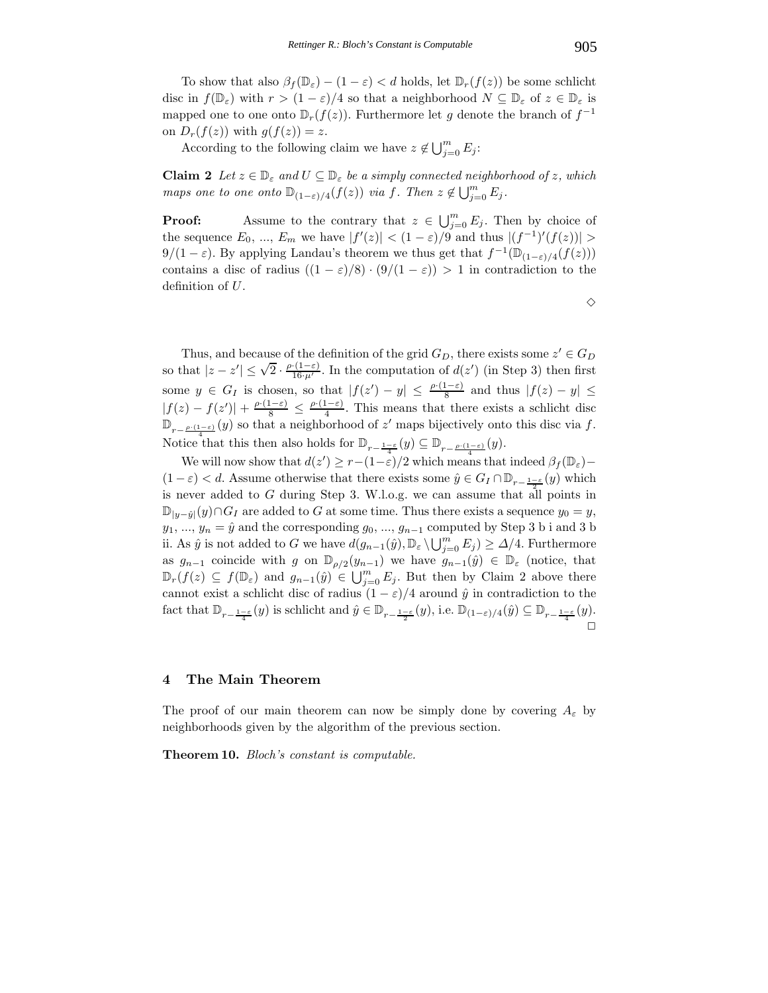To show that also  $\beta_f(\mathbb{D}_{\varepsilon}) - (1 - \varepsilon) < d$  holds, let  $\mathbb{D}_r(f(z))$  be some schlicht disc in  $f(\mathbb{D}_{\varepsilon})$  with  $r > (1 - \varepsilon)/4$  so that a neighborhood  $N \subseteq \mathbb{D}_{\varepsilon}$  of  $z \in \mathbb{D}_{\varepsilon}$  is mapped one to one onto  $\mathbb{D}_r(f(z))$ . Furthermore let g denote the branch of  $f^{-1}$ on  $D_r(f(z))$  with  $g(f(z)) = z$ .

According to the following claim we have  $z \notin \bigcup_{j=0}^m E_j$ :

**Claim 2** *Let*  $z \in \mathbb{D}_{\varepsilon}$  *and*  $U \subseteq \mathbb{D}_{\varepsilon}$  *be a simply connected neighborhood of* z, which *maps one to one onto*  $\mathbb{D}_{(1-\varepsilon)/4}(f(z))$  *via* f. Then  $z \notin \bigcup_{j=0}^{m} E_j$ .

**Proof:** Assume to the contrary that  $z \in \bigcup_{j=0}^{m} E_j$ . Then by choice of the sequence  $E_0, ..., E_m$  we have  $|f'(z)| < (1 - \varepsilon)/9$  and thus  $|(f^{-1})'(f(z))| >$  $9/(1-\varepsilon)$ . By applying Landau's theorem we thus get that  $f^{-1}(\mathbb{D}_{(1-\varepsilon)/4}(f(z)))$ contains a disc of radius  $((1 - \varepsilon)/8) \cdot (9/(1 - \varepsilon)) > 1$  in contradiction to the definition of U.

 $\Diamond$ 

Thus, and because of the definition of the grid  $G_D$ , there exists some  $z' \in G_D$ so that  $|z - z'| \le \sqrt{2} \cdot \frac{\rho \cdot (1-\varepsilon)}{16 \cdot \mu'}$ . In the computation of  $d(z')$  (in Step 3) then first some  $y \in G_I$  is chosen, so that  $|f(z') - y| \leq \frac{\rho(1-\varepsilon)}{8}$  and thus  $|f(z) - y| \leq$  $|f(z) - f(z')| + \frac{\rho \cdot (1-\varepsilon)}{8} \leq \frac{\rho \cdot (1-\varepsilon)}{4}$ . This means that there exists a schlicht disc  $\mathbb{D}_{r-\frac{\rho\cdot(1-\varepsilon)}{4}}(y)$  so that a neighborhood of z' maps bijectively onto this disc via f. Notice that this then also holds for  $\mathbb{D}_{r-\frac{1-\varepsilon}{4}}(y) \subseteq \mathbb{D}_{r-\frac{\rho \cdot (1-\varepsilon)}{4}}(y)$ .

We will now show that  $d(z') \geq r - (1 - \varepsilon)/2$  which means that indeed  $\beta_f(\mathbb{D}_{\varepsilon})$  $(1 - \varepsilon) < d$ . Assume otherwise that there exists some  $\hat{y} \in G_I \cap \mathbb{D}_{r-\frac{1-\varepsilon}{2}}(y)$  which is never added to G during Step 3. W.l.o.g. we can assume that all points in  $\mathbb{D}_{|y-\hat{y}|}(y)\cap G_I$  are added to G at some time. Thus there exists a sequence  $y_0 = y$ ,  $y_1, ..., y_n = \hat{y}$  and the corresponding  $g_0, ..., g_{n-1}$  computed by Step 3 b i and 3 b ii. As  $\hat{y}$  is not added to G we have  $d(g_{n-1}(\hat{y}), \mathbb{D}_{\varepsilon} \setminus \bigcup_{j=0}^m E_j) \geq \Delta/4$ . Furthermore as  $g_{n-1}$  coincide with g on  $\mathbb{D}_{\rho/2}(y_{n-1})$  we have  $g_{n-1}(\hat{y}) \in \mathbb{D}_{\varepsilon}$  (notice, that  $\mathbb{D}_{r}(f(z)) \subseteq f(\mathbb{D}_{\varepsilon})$  and  $g_{n-1}(\hat{y}) \in \bigcup_{j=0}^{m} E_j$ . But then by Claim 2 above there cannot exist a schlicht disc of radius  $(1 - \varepsilon)/4$  around  $\hat{y}$  in contradiction to the fact that  $\mathbb{D}_{r-\frac{1-\varepsilon}{4}}(y)$  is schlicht and  $\hat{y} \in \mathbb{D}_{r-\frac{1-\varepsilon}{2}}(y)$ , i.e.  $\mathbb{D}_{(1-\varepsilon)/4}(\hat{y}) \subseteq \mathbb{D}_{r-\frac{1-\varepsilon}{4}}(y)$ .  $\Box$ 

#### **4 The Main Theorem**

The proof of our main theorem can now be simply done by covering  $A_{\varepsilon}$  by neighborhoods given by the algorithm of the previous section.

**Theorem 10.** *Bloch's constant is computable.*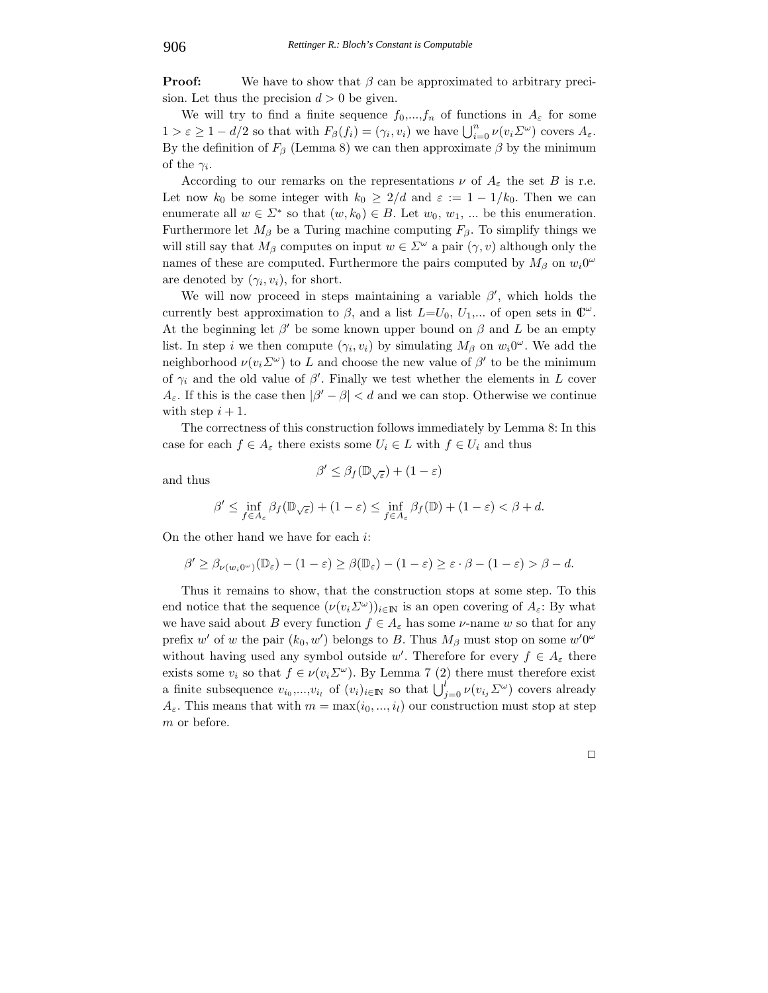**Proof:** We have to show that β can be approximated to arbitrary precision. Let thus the precision  $d > 0$  be given.

We will try to find a finite sequence  $f_0,...,f_n$  of functions in  $A_\varepsilon$  for some  $1 > \varepsilon \geq 1 - d/2$  so that with  $F_\beta(f_i) = (\gamma_i, v_i)$  we have  $\bigcup_{i=0}^n \nu(v_i \Sigma^\omega)$  covers  $A_\varepsilon$ . By the definition of  $F_\beta$  (Lemma 8) we can then approximate  $\beta$  by the minimum of the  $\gamma_i$ .

According to our remarks on the representations  $\nu$  of  $A_{\varepsilon}$  the set B is r.e. Let now  $k_0$  be some integer with  $k_0 \geq 2/d$  and  $\varepsilon := 1 - 1/k_0$ . Then we can enumerate all  $w \in \Sigma^*$  so that  $(w, k_0) \in B$ . Let  $w_0, w_1, ...$  be this enumeration. Furthermore let  $M_\beta$  be a Turing machine computing  $F_\beta$ . To simplify things we will still say that  $M_\beta$  computes on input  $w \in \Sigma^\omega$  a pair  $(\gamma, v)$  although only the names of these are computed. Furthermore the pairs computed by  $M_\beta$  on  $w_i0^\omega$ are denoted by  $(\gamma_i, v_i)$ , for short.

We will now proceed in steps maintaining a variable  $\beta'$ , which holds the currently best approximation to  $\beta$ , and a list  $L=U_0, U_1,...$  of open sets in  $\mathbb{C}^{\omega}$ . At the beginning let  $\beta'$  be some known upper bound on  $\beta$  and L be an empty list. In step i we then compute  $(\gamma_i, v_i)$  by simulating  $M_\beta$  on  $w_i0^\omega$ . We add the neighborhood  $\nu(v_i \Sigma^{\omega})$  to L and choose the new value of  $\beta'$  to be the minimum of  $\gamma_i$  and the old value of  $\beta'$ . Finally we test whether the elements in L cover  $A_{\varepsilon}$ . If this is the case then  $|\beta'-\beta| < d$  and we can stop. Otherwise we continue with step  $i + 1$ .

The correctness of this construction follows immediately by Lemma 8: In this case for each  $f \in A_{\varepsilon}$  there exists some  $U_i \in L$  with  $f \in U_i$  and thus

and thus  $\beta' \leq \beta_f(\mathbb{D}_{\sqrt{\varepsilon}}) + (1 - \varepsilon)$ 

$$
f \circ \mathcal{L}(\mathbb{R}) \to (1 \rightarrow \mathbb{R}) \subset f \circ \mathcal{L}(\mathbb{R}) \times (1 \rightarrow \mathbb{R})
$$

$$
\beta' \le \inf_{f \in A_{\varepsilon}} \beta_f(\mathbb{D}_{\sqrt{\varepsilon}}) + (1 - \varepsilon) \le \inf_{f \in A_{\varepsilon}} \beta_f(\mathbb{D}) + (1 - \varepsilon) < \beta + d.
$$

On the other hand we have for each i:

$$
\beta' \geq \beta_{\nu(w_i 0^{\omega})}(\mathbb{D}_{\varepsilon}) - (1 - \varepsilon) \geq \beta(\mathbb{D}_{\varepsilon}) - (1 - \varepsilon) \geq \varepsilon \cdot \beta - (1 - \varepsilon) > \beta - d.
$$

Thus it remains to show, that the construction stops at some step. To this end notice that the sequence  $(\nu(v_i \Sigma^\omega))_{i\in\mathbb{N}}$  is an open covering of  $A_\varepsilon$ : By what we have said about B every function  $f \in A_{\varepsilon}$  has some  $\nu$ -name w so that for any prefix w' of w the pair  $(k_0, w')$  belongs to B. Thus  $M_\beta$  must stop on some  $w'0^\omega$ without having used any symbol outside w'. Therefore for every  $f \in A_{\varepsilon}$  there exists some  $v_i$  so that  $f \in \nu(v_i \Sigma^\omega)$ . By Lemma 7 (2) there must therefore exist a finite subsequence  $v_{i_0},...,v_{i_l}$  of  $(v_i)_{i\in\mathbb{N}}$  so that  $\bigcup_{j=0}^l \nu(v_{i_j} \Sigma^\omega)$  covers already  $A_{\varepsilon}$ . This means that with  $m = \max(i_0, ..., i_l)$  our construction must stop at step m or before.

 $\Box$